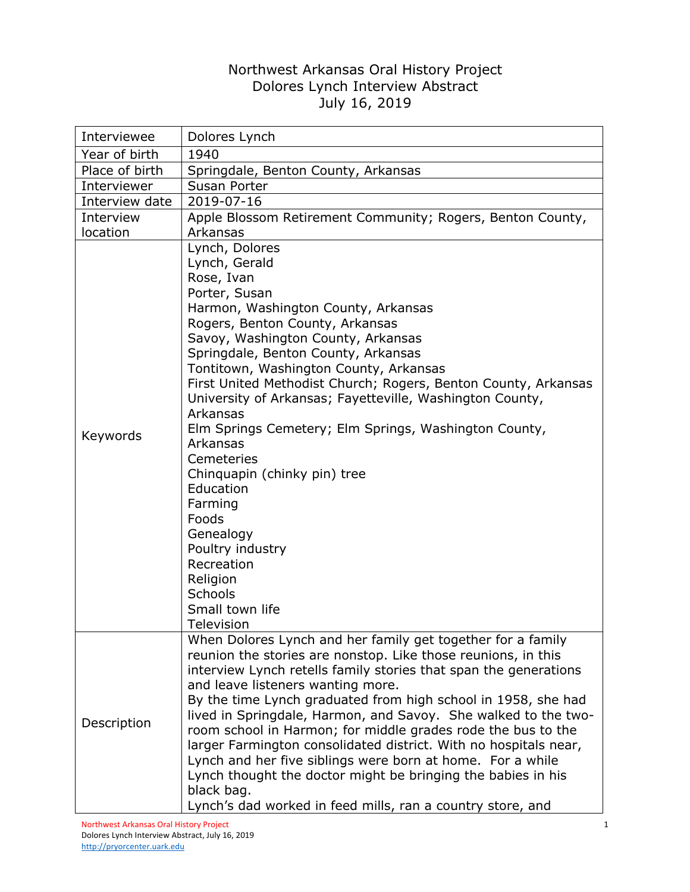## Northwest Arkansas Oral History Project Dolores Lynch Interview Abstract July 16, 2019

| Interviewee    | Dolores Lynch                                                                                                                                                                                                                                                                                                                                                                                                                                                                                                                                                                                                                                                                                                          |
|----------------|------------------------------------------------------------------------------------------------------------------------------------------------------------------------------------------------------------------------------------------------------------------------------------------------------------------------------------------------------------------------------------------------------------------------------------------------------------------------------------------------------------------------------------------------------------------------------------------------------------------------------------------------------------------------------------------------------------------------|
| Year of birth  | 1940                                                                                                                                                                                                                                                                                                                                                                                                                                                                                                                                                                                                                                                                                                                   |
| Place of birth | Springdale, Benton County, Arkansas                                                                                                                                                                                                                                                                                                                                                                                                                                                                                                                                                                                                                                                                                    |
| Interviewer    | Susan Porter                                                                                                                                                                                                                                                                                                                                                                                                                                                                                                                                                                                                                                                                                                           |
| Interview date | 2019-07-16                                                                                                                                                                                                                                                                                                                                                                                                                                                                                                                                                                                                                                                                                                             |
| Interview      | Apple Blossom Retirement Community; Rogers, Benton County,                                                                                                                                                                                                                                                                                                                                                                                                                                                                                                                                                                                                                                                             |
| location       | Arkansas                                                                                                                                                                                                                                                                                                                                                                                                                                                                                                                                                                                                                                                                                                               |
| Keywords       | Lynch, Dolores<br>Lynch, Gerald<br>Rose, Ivan<br>Porter, Susan<br>Harmon, Washington County, Arkansas<br>Rogers, Benton County, Arkansas<br>Savoy, Washington County, Arkansas<br>Springdale, Benton County, Arkansas<br>Tontitown, Washington County, Arkansas<br>First United Methodist Church; Rogers, Benton County, Arkansas<br>University of Arkansas; Fayetteville, Washington County,<br>Arkansas<br>Elm Springs Cemetery; Elm Springs, Washington County,<br>Arkansas<br>Cemeteries<br>Chinquapin (chinky pin) tree<br>Education<br>Farming<br>Foods<br>Genealogy<br>Poultry industry<br>Recreation<br>Religion<br>Schools<br>Small town life<br><b>Television</b>                                            |
| Description    | When Dolores Lynch and her family get together for a family<br>reunion the stories are nonstop. Like those reunions, in this<br>interview Lynch retells family stories that span the generations<br>and leave listeners wanting more.<br>By the time Lynch graduated from high school in 1958, she had<br>lived in Springdale, Harmon, and Savoy. She walked to the two-<br>room school in Harmon; for middle grades rode the bus to the<br>larger Farmington consolidated district. With no hospitals near,<br>Lynch and her five siblings were born at home. For a while<br>Lynch thought the doctor might be bringing the babies in his<br>black bag.<br>Lynch's dad worked in feed mills, ran a country store, and |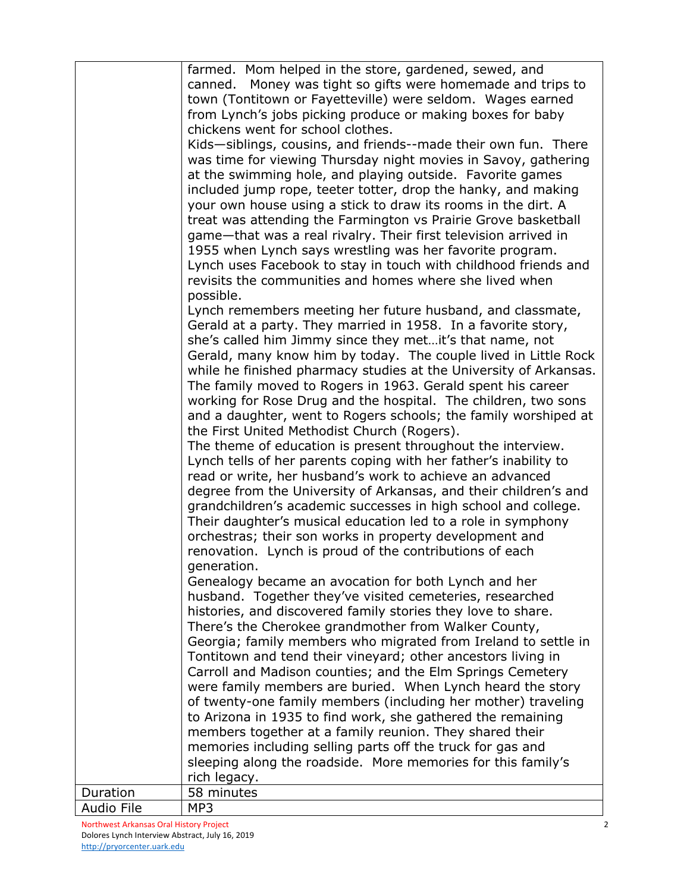|            | farmed. Mom helped in the store, gardened, sewed, and             |
|------------|-------------------------------------------------------------------|
|            | canned. Money was tight so gifts were homemade and trips to       |
|            | town (Tontitown or Fayetteville) were seldom. Wages earned        |
|            | from Lynch's jobs picking produce or making boxes for baby        |
|            | chickens went for school clothes.                                 |
|            |                                                                   |
|            | Kids-siblings, cousins, and friends--made their own fun. There    |
|            | was time for viewing Thursday night movies in Savoy, gathering    |
|            | at the swimming hole, and playing outside. Favorite games         |
|            | included jump rope, teeter totter, drop the hanky, and making     |
|            | your own house using a stick to draw its rooms in the dirt. A     |
|            | treat was attending the Farmington vs Prairie Grove basketball    |
|            | game-that was a real rivalry. Their first television arrived in   |
|            | 1955 when Lynch says wrestling was her favorite program.          |
|            | Lynch uses Facebook to stay in touch with childhood friends and   |
|            | revisits the communities and homes where she lived when           |
|            | possible.                                                         |
|            | Lynch remembers meeting her future husband, and classmate,        |
|            | Gerald at a party. They married in 1958. In a favorite story,     |
|            | she's called him Jimmy since they metit's that name, not          |
|            | Gerald, many know him by today. The couple lived in Little Rock   |
|            | while he finished pharmacy studies at the University of Arkansas. |
|            | The family moved to Rogers in 1963. Gerald spent his career       |
|            | working for Rose Drug and the hospital. The children, two sons    |
|            | and a daughter, went to Rogers schools; the family worshiped at   |
|            | the First United Methodist Church (Rogers).                       |
|            | The theme of education is present throughout the interview.       |
|            | Lynch tells of her parents coping with her father's inability to  |
|            | read or write, her husband's work to achieve an advanced          |
|            | degree from the University of Arkansas, and their children's and  |
|            | grandchildren's academic successes in high school and college.    |
|            | Their daughter's musical education led to a role in symphony      |
|            | orchestras; their son works in property development and           |
|            | renovation. Lynch is proud of the contributions of each           |
|            | generation.                                                       |
|            | Genealogy became an avocation for both Lynch and her              |
|            | husband. Together they've visited cemeteries, researched          |
|            | histories, and discovered family stories they love to share.      |
|            | There's the Cherokee grandmother from Walker County,              |
|            | Georgia; family members who migrated from Ireland to settle in    |
|            | Tontitown and tend their vineyard; other ancestors living in      |
|            | Carroll and Madison counties; and the Elm Springs Cemetery        |
|            | were family members are buried. When Lynch heard the story        |
|            | of twenty-one family members (including her mother) traveling     |
|            | to Arizona in 1935 to find work, she gathered the remaining       |
|            |                                                                   |
|            | members together at a family reunion. They shared their           |
|            | memories including selling parts off the truck for gas and        |
|            | sleeping along the roadside. More memories for this family's      |
|            | rich legacy.                                                      |
| Duration   | 58 minutes                                                        |
| Audio File | MP3                                                               |